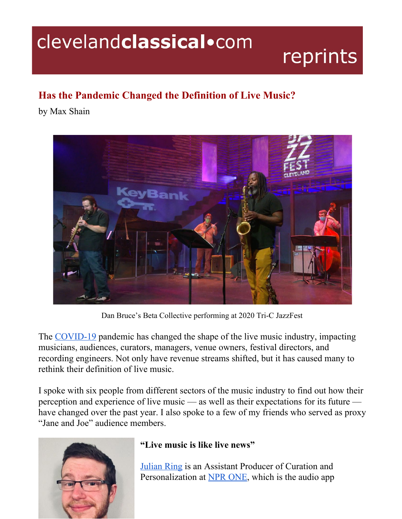## clevelandclassical.com

# reprints

## **Has the Pandemic Changed the Definition of Live Music?**

by Max Shain



Dan Bruce's Beta Collective performing at 2020 Tri-C JazzFest

The [COVID-19](https://www.cdc.gov/coronavirus/2019-ncov/index.html) pandemic has changed the shape of the live music industry, impacting musicians, audiences, curators, managers, venue owners, festival directors, and recording engineers. Not only have revenue streams shifted, but it has caused many to rethink their definition of live music.

I spoke with six people from different sectors of the music industry to find out how their perception and experience of live music — as well as their expectations for its future have changed over the past year. I also spoke to a few of my friends who served as proxy "Jane and Joe" audience members.



### **"Live music is like live news"**

[Julian](https://www.linkedin.com/in/julian-ring-906374141/) Ring is an Assistant Producer of Curation and Personalization at NPR [ONE](https://one.npr.org/), which is the audio app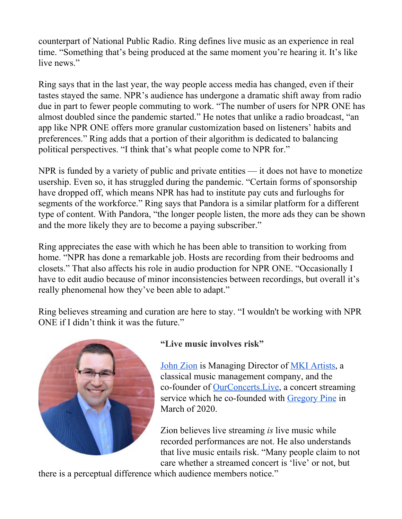counterpart of National Public Radio. Ring defines live music as an experience in real time. "Something that's being produced at the same moment you're hearing it. It's like live news."

Ring says that in the last year, the way people access media has changed, even if their tastes stayed the same. NPR's audience has undergone a dramatic shift away from radio due in part to fewer people commuting to work. "The number of users for NPR ONE has almost doubled since the pandemic started." He notes that unlike a radio broadcast, "an app like NPR ONE offers more granular customization based on listeners' habits and preferences." Ring adds that a portion of their algorithm is dedicated to balancing political perspectives. "I think that's what people come to NPR for."

NPR is funded by a variety of public and private entities — it does not have to monetize usership. Even so, it has struggled during the pandemic. "Certain forms of sponsorship have dropped off, which means NPR has had to institute pay cuts and furloughs for segments of the workforce." Ring says that Pandora is a similar platform for a different type of content. With Pandora, "the longer people listen, the more ads they can be shown and the more likely they are to become a paying subscriber."

Ring appreciates the ease with which he has been able to transition to working from home. "NPR has done a remarkable job. Hosts are recording from their bedrooms and closets." That also affects his role in audio production for NPR ONE. "Occasionally I have to edit audio because of minor inconsistencies between recordings, but overall it's really phenomenal how they've been able to adapt."

Ring believes streaming and curation are here to stay. "I wouldn't be working with NPR ONE if I didn't think it was the future."



#### **"Live music involves risk"**

[John](https://mkiartists.com/our-team) Zion is Managing Director of MKI [Artists,](https://mkiartists.com/) a classical music management company, and the co-founder of [OurConcerts.Live](https://ourconcerts.live/), a concert streaming service which he co-founded with [Gregory](https://ourconcerts.live/about) Pine in March of 2020.

Zion believes live streaming *is* live music while recorded performances are not. He also understands that live music entails risk. "Many people claim to not care whether a streamed concert is 'live' or not, but

there is a perceptual difference which audience members notice."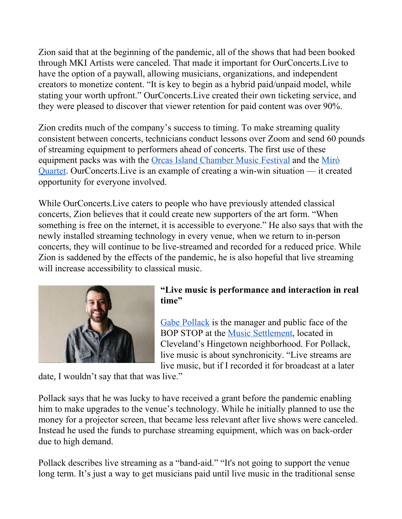Zion said that at the beginning of the pandemic, all of the shows that had been booked through MKI Artists were canceled. That made it important for OurConcerts.Live to have the option of a paywall, allowing musicians, organizations, and independent creators to monetize content. "It is key to begin as a hybrid paid/unpaid model, while stating your worth upfront." OurConcerts.Live created their own ticketing service, and they were pleased to discover that viewer retention for paid content was over 90%.

Zion credits much of the company's success to timing. To make streaming quality consistent between concerts, technicians conduct lessons over Zoom and send 60 pounds of streaming equipment to performers ahead of concerts. The first use of these equipment packs was with the Orcas Island [Chamber](https://oicmf.org/) Music Festival and the [Miró](https://miroquartet.com/) [Quartet](https://miroquartet.com/). OurConcerts.Live is an example of creating a win-win situation — it created opportunity for everyone involved.

While OurConcerts.Live caters to people who have previously attended classical concerts, Zion believes that it could create new supporters of the art form. "When something is free on the internet, it is accessible to everyone." He also says that with the newly installed streaming technology in every venue, when we return to in-person concerts, they will continue to be live-streamed and recorded for a reduced price. While Zion is saddened by the effects of the pandemic, he is also hopeful that live streaming will increase accessibility to classical music.



#### **"Live music is performance and interaction in real time"**

Gabe [Pollack](https://www.themusicsettlement.org/directory/gabriel-pollack) is the manager and public face of the BOP STOP at the Music [Settlement,](https://www.themusicsettlement.org/) located in Cleveland's Hingetown neighborhood. For Pollack, live music is about synchronicity. "Live streams are live music, but if I recorded it for broadcast at a later

date, I wouldn't say that that was live."

Pollack says that he was lucky to have received a grant before the pandemic enabling him to make upgrades to the venue's technology. While he initially planned to use the money for a projector screen, that became less relevant after live shows were canceled. Instead he used the funds to purchase streaming equipment, which was on back-order due to high demand.

Pollack describes live streaming as a "band-aid." "It's not going to support the venue long term. It's just a way to get musicians paid until live music in the traditional sense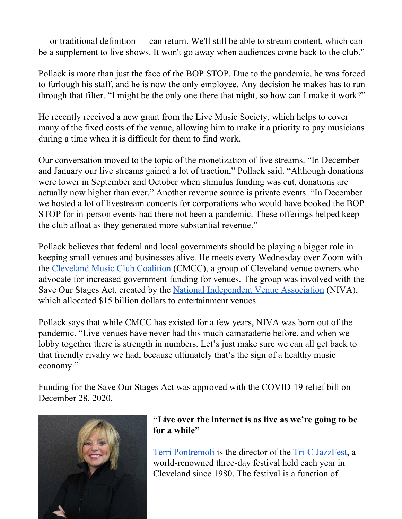— or traditional definition — can return. We'll still be able to stream content, which can be a supplement to live shows. It won't go away when audiences come back to the club."

Pollack is more than just the face of the BOP STOP. Due to the pandemic, he was forced to furlough his staff, and he is now the only employee. Any decision he makes has to run through that filter. "I might be the only one there that night, so how can I make it work?"

He recently received a new grant from the Live Music Society, which helps to cover many of the fixed costs of the venue, allowing him to make it a priority to pay musicians during a time when it is difficult for them to find work.

Our conversation moved to the topic of the monetization of live streams. "In December and January our live streams gained a lot of traction," Pollack said. "Although donations were lower in September and October when stimulus funding was cut, donations are actually now higher than ever." Another revenue source is private events. "In December we hosted a lot of livestream concerts for corporations who would have booked the BOP STOP for in-person events had there not been a pandemic. These offerings helped keep the club afloat as they generated more substantial revenue."

Pollack believes that federal and local governments should be playing a bigger role in keeping small venues and businesses alive. He meets every Wednesday over Zoom with the [Cleveland](https://www.facebook.com/CleveMusicClubCoalition/) Music Club Coalition (CMCC), a group of Cleveland venue owners who advocate for increased government funding for venues. The group was involved with the Save Our Stages Act, created by the National [Independent](https://www.nivassoc.org/) Venue Association (NIVA), which allocated \$15 billion dollars to entertainment venues.

Pollack says that while CMCC has existed for a few years, NIVA was born out of the pandemic. "Live venues have never had this much camaraderie before, and when we lobby together there is strength in numbers. Let's just make sure we can all get back to that friendly rivalry we had, because ultimately that's the sign of a healthy music economy."

Funding for the Save Our Stages Act was approved with the COVID-19 relief bill on December 28, 2020.



#### **"Live over the internet is as live as we're going to be for a while"**

Terri [Pontremoli](https://www.tri-c.edu/jazzfest/contact-us.html) is the director of the Tri-C [JazzFest,](https://www.tri-c.edu/jazzfest/) a world-renowned three-day festival held each year in Cleveland since 1980. The festival is a function of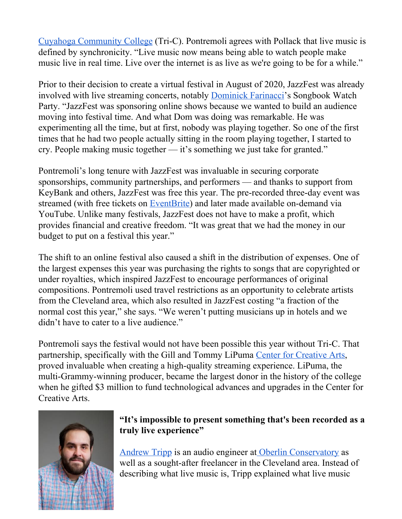Cuyahoga [Community](https://www.tri-c.edu/) College (Tri-C). Pontremoli agrees with Pollack that live music is defined by synchronicity. "Live music now means being able to watch people make music live in real time. Live over the internet is as live as we're going to be for a while."

Prior to their decision to create a virtual festival in August of 2020, JazzFest was already involved with live streaming concerts, notably [Dominick](https://www.dominickfarinacci.com/) Farinacci's Songbook Watch Party. "JazzFest was sponsoring online shows because we wanted to build an audience moving into festival time. And what Dom was doing was remarkable. He was experimenting all the time, but at first, nobody was playing together. So one of the first times that he had two people actually sitting in the room playing together, I started to cry. People making music together — it's something we just take for granted."

Pontremoli's long tenure with JazzFest was invaluable in securing corporate sponsorships, community partnerships, and performers — and thanks to support from KeyBank and others, JazzFest was free this year. The pre-recorded three-day event was streamed (with free tickets on [EventBrite\)](https://www.eventbrite.com/) and later made available on-demand via YouTube. Unlike many festivals, JazzFest does not have to make a profit, which provides financial and creative freedom. "It was great that we had the money in our budget to put on a festival this year."

The shift to an online festival also caused a shift in the distribution of expenses. One of the largest expenses this year was purchasing the rights to songs that are copyrighted or under royalties, which inspired JazzFest to encourage performances of original compositions. Pontremoli used travel restrictions as an opportunity to celebrate artists from the Cleveland area, which also resulted in JazzFest costing "a fraction of the normal cost this year," she says. "We weren't putting musicians up in hotels and we didn't have to cater to a live audience."

Pontremoli says the festival would not have been possible this year without Tri-C. That partnership, specifically with the Gill and Tommy LiPuma Center for [Creative](https://www.tri-c.edu/arts-and-entertainment/tommy-li-puma-center-for-creative-arts.html) Arts, proved invaluable when creating a high-quality streaming experience. LiPuma, the multi-Grammy-winning producer, became the largest donor in the history of the college when he gifted \$3 million to fund technological advances and upgrades in the Center for Creative Arts.



#### **"It's impossible to present something that's been recorded as a truly live experience"**

[Andrew](https://www.oberlin.edu/andrew-tripp) Tripp is an audio engineer at Oberlin [Conservatory](https://www.oberlin.edu/conservatory) as well as a sought-after freelancer in the Cleveland area. Instead of describing what live music is, Tripp explained what live music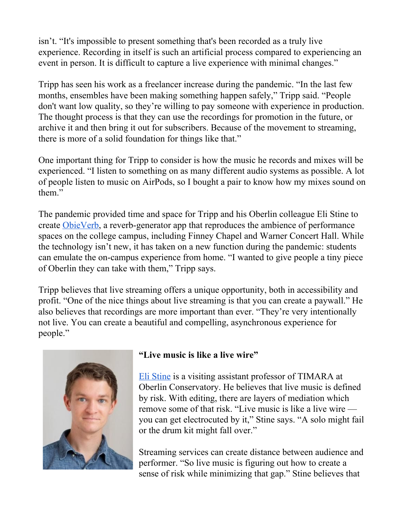isn't. "It's impossible to present something that's been recorded as a truly live experience. Recording in itself is such an artificial process compared to experiencing an event in person. It is difficult to capture a live experience with minimal changes."

Tripp has seen his work as a freelancer increase during the pandemic. "In the last few months, ensembles have been making something happen safely," Tripp said. "People don't want low quality, so they're willing to pay someone with experience in production. The thought process is that they can use the recordings for promotion in the future, or archive it and then bring it out for subscribers. Because of the movement to streaming, there is more of a solid foundation for things like that."

One important thing for Tripp to consider is how the music he records and mixes will be experienced. "I listen to something on as many different audio systems as possible. A lot of people listen to music on AirPods, so I bought a pair to know how my mixes sound on them."

The pandemic provided time and space for Tripp and his Oberlin colleague Eli Stine to create [ObieVerb,](https://www.oberlin.edu/concert-production/reserving/virtual-venues-obieverb) a reverb-generator app that reproduces the ambience of performance spaces on the college campus, including Finney Chapel and Warner Concert Hall. While the technology isn't new, it has taken on a new function during the pandemic: students can emulate the on-campus experience from home. "I wanted to give people a tiny piece of Oberlin they can take with them," Tripp says.

Tripp believes that live streaming offers a unique opportunity, both in accessibility and profit. "One of the nice things about live streaming is that you can create a paywall." He also believes that recordings are more important than ever. "They're very intentionally not live. You can create a beautiful and compelling, asynchronous experience for people."



#### **"Live music is like a live wire"**

Eli [Stine](https://www.oberlin.edu/eli-stine) is a visiting assistant professor of TIMARA at Oberlin Conservatory. He believes that live music is defined by risk. With editing, there are layers of mediation which remove some of that risk. "Live music is like a live wire you can get electrocuted by it," Stine says. "A solo might fail or the drum kit might fall over."

Streaming services can create distance between audience and performer. "So live music is figuring out how to create a sense of risk while minimizing that gap." Stine believes that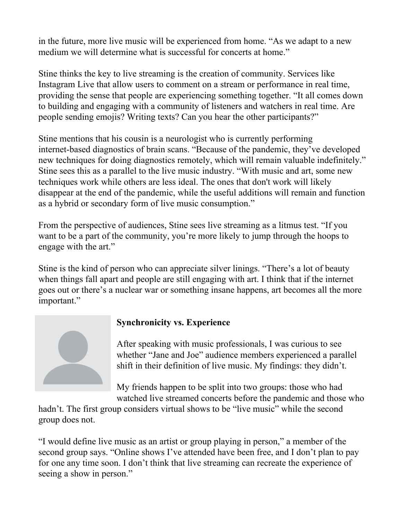in the future, more live music will be experienced from home. "As we adapt to a new medium we will determine what is successful for concerts at home."

Stine thinks the key to live streaming is the creation of community. Services like Instagram Live that allow users to comment on a stream or performance in real time, providing the sense that people are experiencing something together. "It all comes down to building and engaging with a community of listeners and watchers in real time. Are people sending emojis? Writing texts? Can you hear the other participants?"

Stine mentions that his cousin is a neurologist who is currently performing internet-based diagnostics of brain scans. "Because of the pandemic, they've developed new techniques for doing diagnostics remotely, which will remain valuable indefinitely." Stine sees this as a parallel to the live music industry. "With music and art, some new techniques work while others are less ideal. The ones that don't work will likely disappear at the end of the pandemic, while the useful additions will remain and function as a hybrid or secondary form of live music consumption."

From the perspective of audiences, Stine sees live streaming as a litmus test. "If you want to be a part of the community, you're more likely to jump through the hoops to engage with the art."

Stine is the kind of person who can appreciate silver linings. "There's a lot of beauty when things fall apart and people are still engaging with art. I think that if the internet goes out or there's a nuclear war or something insane happens, art becomes all the more important."



#### **Synchronicity vs. Experience**

After speaking with music professionals, I was curious to see whether "Jane and Joe" audience members experienced a parallel shift in their definition of live music. My findings: they didn't.

My friends happen to be split into two groups: those who had watched live streamed concerts before the pandemic and those who

hadn't. The first group considers virtual shows to be "live music" while the second group does not.

"I would define live music as an artist or group playing in person," a member of the second group says. "Online shows I've attended have been free, and I don't plan to pay for one any time soon. I don't think that live streaming can recreate the experience of seeing a show in person."